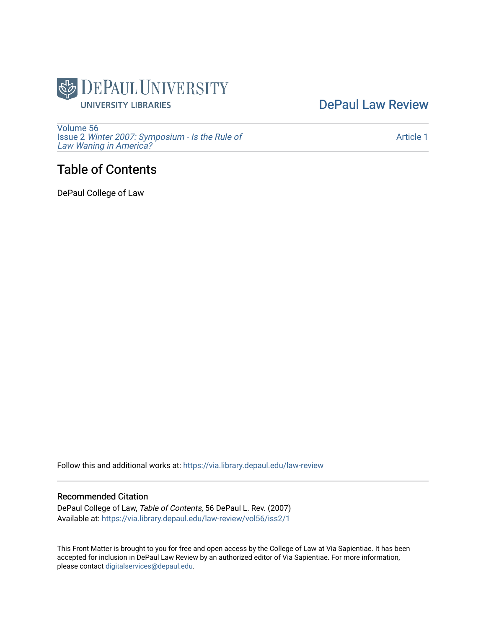

[DePaul Law Review](https://via.library.depaul.edu/law-review) 

[Volume 56](https://via.library.depaul.edu/law-review/vol56) Issue 2 [Winter 2007: Symposium - Is the Rule of](https://via.library.depaul.edu/law-review/vol56/iss2) [Law Waning in America?](https://via.library.depaul.edu/law-review/vol56/iss2) 

# Table of Contents

DePaul College of Law

Follow this and additional works at: [https://via.library.depaul.edu/law-review](https://via.library.depaul.edu/law-review?utm_source=via.library.depaul.edu%2Flaw-review%2Fvol56%2Fiss2%2F1&utm_medium=PDF&utm_campaign=PDFCoverPages) 

#### Recommended Citation

DePaul College of Law, Table of Contents, 56 DePaul L. Rev. (2007) Available at: [https://via.library.depaul.edu/law-review/vol56/iss2/1](https://via.library.depaul.edu/law-review/vol56/iss2/1?utm_source=via.library.depaul.edu%2Flaw-review%2Fvol56%2Fiss2%2F1&utm_medium=PDF&utm_campaign=PDFCoverPages) 

This Front Matter is brought to you for free and open access by the College of Law at Via Sapientiae. It has been accepted for inclusion in DePaul Law Review by an authorized editor of Via Sapientiae. For more information, please contact [digitalservices@depaul.edu.](mailto:digitalservices@depaul.edu)

#### [Article 1](https://via.library.depaul.edu/law-review/vol56/iss2/1)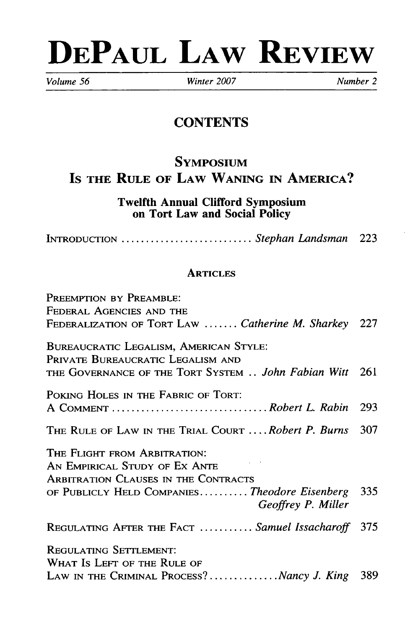# **DEPAUL LAW REVIEW**

*Volume 56 Winter 2007 Number 2*

# **CONTENTS**

# **SYMPOSIUM Is** THE RULE OF LAW **WANING IN** AMERICA?

Twelfth Annual Clifford Symposium on Tort Law and Social Policy

**INTRODUCTION** ............................ *Stephan Landsman* 223

## **ARTICLES**

| PREEMPTION BY PREAMBLE:                                                     |       |
|-----------------------------------------------------------------------------|-------|
| FEDERAL AGENCIES AND THE                                                    |       |
| FEDERALIZATION OF TORT LAW  Catherine M. Sharkey 227                        |       |
| BUREAUCRATIC LEGALISM, AMERICAN STYLE:<br>PRIVATE BUREAUCRATIC LEGALISM AND |       |
| THE GOVERNANCE OF THE TORT SYSTEM  John Fabian Witt                         | - 261 |
| POKING HOLES IN THE FABRIC OF TORT:                                         |       |
|                                                                             | 293   |
| THE RULE OF LAW IN THE TRIAL COURT  Robert P. Burns                         | 307   |
| THE FLIGHT FROM ARBITRATION:                                                |       |
| AN EMPIRICAL STUDY OF EX ANTE                                               |       |
| ARBITRATION CLAUSES IN THE CONTRACTS                                        |       |
| OF PUBLICLY HELD COMPANIESTheodore Eisenberg 335<br>Geoffrey P. Miller      |       |
| REGULATING AFTER THE FACT  Samuel Issacharoff 375                           |       |
| REGULATING SETTLEMENT:                                                      |       |
| WHAT IS LEFT OF THE RULE OF                                                 |       |
| LAW IN THE CRIMINAL PROCESS?Nancy J. King                                   | 389   |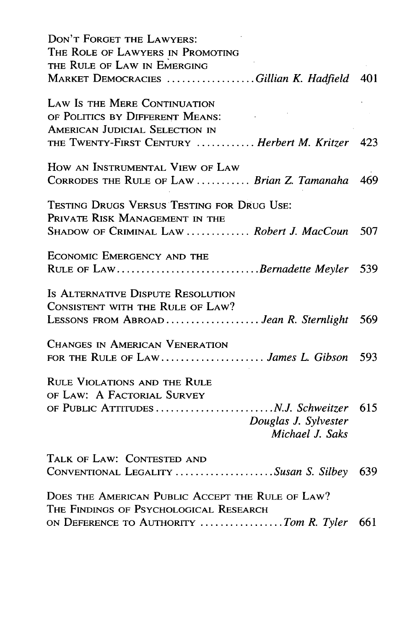| DON'T FORGET THE LAWYERS:                                           |     |
|---------------------------------------------------------------------|-----|
| THE ROLE OF LAWYERS IN PROMOTING                                    |     |
| THE RULE OF LAW IN EMERGING                                         |     |
| MARKET DEMOCRACIES Gillian K. Hadfield 401                          |     |
| LAW IS THE MERE CONTINUATION                                        |     |
| OF POLITICS BY DIFFERENT MEANS:                                     |     |
| <b>AMERICAN JUDICIAL SELECTION IN</b>                               |     |
| THE TWENTY-FIRST CENTURY  Herbert M. Kritzer 423                    |     |
| HOW AN INSTRUMENTAL VIEW OF LAW                                     |     |
| CORRODES THE RULE OF LAW  Brian Z. Tamanaha                         | 469 |
| TESTING DRUGS VERSUS TESTING FOR DRUG USE:                          |     |
| PRIVATE RISK MANAGEMENT IN THE                                      |     |
| SHADOW OF CRIMINAL LAW  Robert J. MacCoun                           | 507 |
| <b>ECONOMIC EMERGENCY AND THE</b>                                   |     |
| RULE OF LAWBernadette Meyler                                        | 539 |
| IS ALTERNATIVE DISPUTE RESOLUTION                                   |     |
| CONSISTENT WITH THE RULE OF LAW?                                    |     |
| LESSONS FROM ABROAD <i>Jean R. Sternlight</i>                       | 569 |
| CHANGES IN AMERICAN VENERATION                                      |     |
| FOR THE RULE OF LAW James L. Gibson                                 | 593 |
| <b>RULE VIOLATIONS AND THE RULE</b>                                 |     |
| OF LAW: A FACTORIAL SURVEY                                          |     |
| Douglas J. Sylvester<br>Michael J. Saks                             |     |
|                                                                     |     |
| TALK OF LAW: CONTESTED AND<br>CONVENTIONAL LEGALITY Susan S. Silbey | 639 |
|                                                                     |     |
| DOES THE AMERICAN PUBLIC ACCEPT THE RULE OF LAW?                    |     |
| THE FINDINGS OF PSYCHOLOGICAL RESEARCH                              |     |
| ON DEFERENCE TO AUTHORITY Tom R. Tyler 661                          |     |